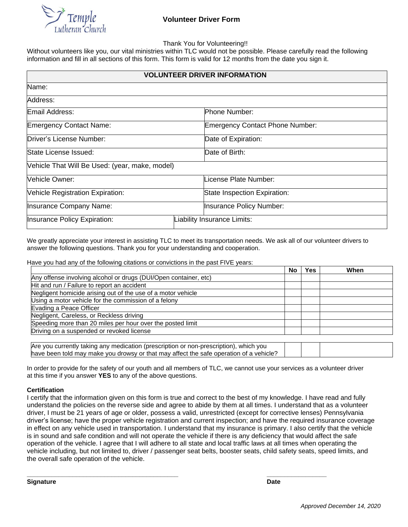

Thank You for Volunteering!!

Without volunteers like you, our vital ministries within TLC would not be possible. Please carefully read the following information and fill in all sections of this form. This form is valid for 12 months from the date you sign it.

| <b>VOLUNTEER DRIVER INFORMATION</b>            |  |                                        |  |  |
|------------------------------------------------|--|----------------------------------------|--|--|
| Name:                                          |  |                                        |  |  |
| Address:                                       |  |                                        |  |  |
| Email Address:                                 |  | Phone Number:                          |  |  |
| <b>Emergency Contact Name:</b>                 |  | <b>Emergency Contact Phone Number:</b> |  |  |
| Driver's License Number:                       |  | Date of Expiration:                    |  |  |
| State License Issued:                          |  | Date of Birth:                         |  |  |
| Vehicle That Will Be Used: (year, make, model) |  |                                        |  |  |
| <b>Nehicle Owner:</b>                          |  | License Plate Number:                  |  |  |
| Vehicle Registration Expiration:               |  | State Inspection Expiration:           |  |  |
| Insurance Company Name:                        |  | Insurance Policy Number:               |  |  |
| Insurance Policy Expiration:                   |  | Liability Insurance Limits:            |  |  |

We greatly appreciate your interest in assisting TLC to meet its transportation needs. We ask all of our volunteer drivers to answer the following questions. Thank you for your understanding and cooperation.

Have you had any of the following citations or convictions in the past FIVE years:

|                                                                                       | <b>No</b> | Yes | When |
|---------------------------------------------------------------------------------------|-----------|-----|------|
| Any offense involving alcohol or drugs (DUI/Open container, etc)                      |           |     |      |
| Hit and run / Failure to report an accident                                           |           |     |      |
| Negligent homicide arising out of the use of a motor vehicle                          |           |     |      |
| Using a motor vehicle for the commission of a felony                                  |           |     |      |
| Evading a Peace Officer                                                               |           |     |      |
| Negligent, Careless, or Reckless driving                                              |           |     |      |
| Speeding more than 20 miles per hour over the posted limit                            |           |     |      |
| Driving on a suspended or revoked license                                             |           |     |      |
|                                                                                       |           |     |      |
| Are you currently taking any medication (prescription or non-prescription), which you |           |     |      |

have been told may make you drowsy or that may affect the safe operation of a vehicle?

In order to provide for the safety of our youth and all members of TLC, we cannot use your services as a volunteer driver at this time if you answer **YES** to any of the above questions.

#### **Certification**

I certify that the information given on this form is true and correct to the best of my knowledge. I have read and fully understand the policies on the reverse side and agree to abide by them at all times. I understand that as a volunteer driver, I must be 21 years of age or older, possess a valid, unrestricted (except for corrective lenses) Pennsylvania driver's license; have the proper vehicle registration and current inspection; and have the required insurance coverage in effect on any vehicle used in transportation. I understand that my insurance is primary. I also certify that the vehicle is in sound and safe condition and will not operate the vehicle if there is any deficiency that would affect the safe operation of the vehicle. I agree that I will adhere to all state and local traffic laws at all times when operating the vehicle including, but not limited to, driver / passenger seat belts, booster seats, child safety seats, speed limits, and the overall safe operation of the vehicle.

**\_\_\_\_\_\_\_\_\_\_\_\_\_\_\_\_\_\_\_\_\_\_\_\_\_\_\_\_\_\_\_\_\_\_\_\_\_\_\_\_\_\_\_ \_\_\_\_\_\_\_\_\_\_\_\_\_\_\_\_\_**